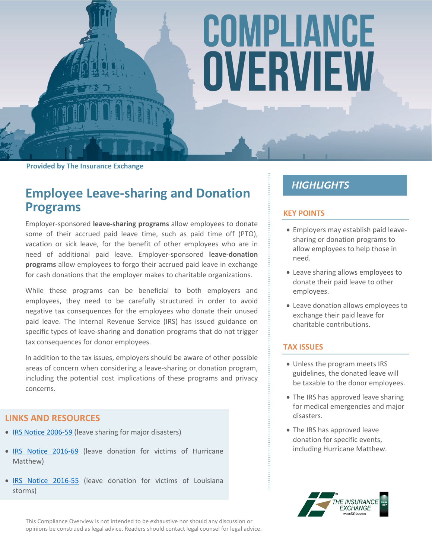# COMPLIANCE OVERVIEW

**Provided by The Insurance Exchange**

## **Employee Leave-sharing and Donation Programs**

Employer-sponsored **leave-sharing programs** allow employees to donate some of their accrued paid leave time, such as paid time off (PTO), vacation or sick leave, for the benefit of other employees who are in need of additional paid leave. Employer-sponsored **leave-donation programs** allow employees to forgo their accrued paid leave in exchange for cash donations that the employer makes to charitable organizations.

While these programs can be beneficial to both employers and employees, they need to be carefully structured in order to avoid negative tax consequences for the employees who donate their unused paid leave. The Internal Revenue Service (IRS) has issued guidance on specific types of leave-sharing and donation programs that do not trigger tax consequences for donor employees.

In addition to the tax issues, employers should be aware of other possible areas of concern when considering a leave-sharing or donation program, including the potential cost implications of these programs and privacy concerns.

#### **LINKS AND RESOURCES**

- IRS [Notice](https://www.irs.gov/pub/irs-drop/n-06-59.pdf) 200[6-59](https://www.irs.gov/pub/irs-drop/n-06-59.pdf) (leave sharing for major disasters)
- . IRS [Notice](https://www.irs.gov/pub/irs-drop/n-16-69.pdf) 2016[-69](https://www.irs.gov/pub/irs-drop/n-16-69.pdf) (leave donation for victims of Hurricane Matthew)
- IRS [Notice](https://www.irs.gov/pub/irs-drop/n-16-55.pdf) 201[6-55](https://www.irs.gov/pub/irs-drop/n-16-55.pdf) (leave donation for victims of Louisiana storms)

This Compliance Overview is not intended to be exhaustive nor should any discussion or opinions be construed as legal advice. Readers should contact legal counsel for legal advice.

### **HIGHLIGHTS**

#### **KEY POINTS**

- Employers may establish paid leavesharing or donation programs to allow employees to help those in need.
- Leave sharing allows employees to donate their paid leave to other employees.
- Leave donation allows employees to exchange their paid leave for charitable contributions.

#### **TAX ISSUES**

- Unless the program meets IRS guidelines, the donated leave will be taxable to the donor employees.
- The IRS has approved leave sharing for medical emergencies and major disasters.
- The IRS has approved leave donation for specific events, including Hurricane Matthew.

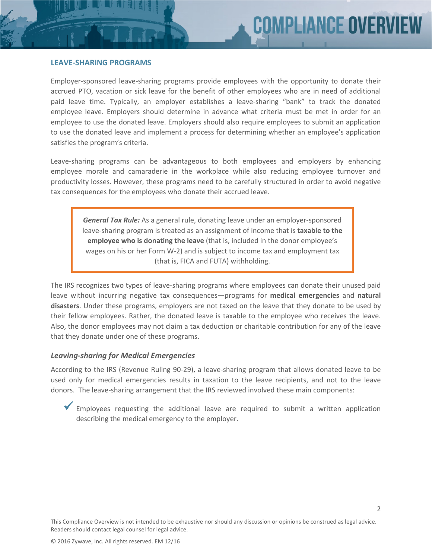#### **LEAVE-SHARING PROGRAMS**

Employer-sponsored leave-sharing programs provide employees with the opportunity to donate their accrued PTO, vacation or sick leave for the benefit of other employees who are in need of additional paid leave time. Typically, an employer establishes a leave-sharing "bank" to track the donated employee leave. Employers should determine in advance what criteria must be met in order for an employee to use the donated leave. Employers should also require employees to submit an application to use the donated leave and implement a process for determining whether an employee's application satisfies the program's criteria.

Leave-sharing programs can be advantageous to both employees and employers by enhancing employee morale and camaraderie in the workplace while also reducing employee turnover and productivity losses. However, these programs need to be carefully structured in order to avoid negative tax consequences for the employees who donate their accrued leave.

*General Tax Rule:* As a general rule, donating leave under an employer-sponsored leave-sharing program is treated as an assignment of income that is **taxable to the employee who is donating the leave** (that is, included in the donor employee's wages on his or her Form W-2) and is subject to income tax and employment tax (that is, FICA and FUTA) withholding.

The IRS recognizes two types of leave-sharing programs where employees can donate their unused paid leave without incurring negative tax consequences—programs for **medical emergencies** and **natural disasters**. Under these programs, employers are not taxed on the leave that they donate to be used by their fellow employees. Rather, the donated leave is taxable to the employee who receives the leave. Also, the donor employees may not claim a tax deduction or charitable contribution for any of the leave that they donate under one of these programs.

#### *Leaving-sharing for Medical Emergencies*

According to the IRS (Revenue Ruling 90-29), a leave-sharing program that allows donated leave to be used only for medical emergencies results in taxation to the leave recipients, and not to the leave donors. The leave-sharing arrangement that the IRS reviewed involved these main components:

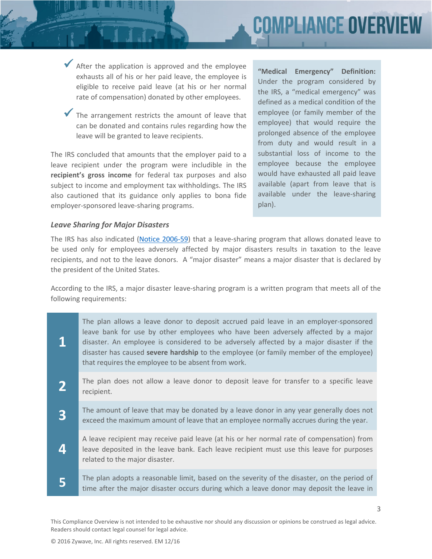# **IMPLIANCE OVERV**

 $\blacktriangleright$  After the application is approved and the employee exhausts all of his or her paid leave, the employee is eligible to receive paid leave (at his or her normal rate of compensation) donated by other employees.

The arrangement restricts the amount of leave that can be donated and contains rules regarding how the leave will be granted to leave recipients.

The IRS concluded that amounts that the employer paid to a leave recipient under the program were includible in the **recipient's gross income** for federal tax purposes and also subject to income and employment tax withholdings. The IRS also cautioned that its guidance only applies to bona fide employer-sponsored leave-sharing programs.

**"Medical Emergency" Definition:** Under the program considered by the IRS, a "medical emergency" was defined as a medical condition of the employee (or family member of the employee) that would require the prolonged absence of the employee from duty and would result in a substantial loss of income to the employee because the employee would have exhausted all paid leave available (apart from leave that is available under the leave-sharing plan).

3

#### *Leave Sharing for Major Disasters*

The IRS has also indicated (Notice [2006-59\)](https://www.irs.gov/pub/irs-drop/n-06-59.pdf) that a leave-sharing program that allows donated leave to be used only for employees adversely affected by major disasters results in taxation to the leave recipients, and not to the leave donors. A "major disaster" means a major disaster that is declared by the president of the United States.

According to the IRS, a major disaster leave-sharing program is a written program that meets all of the following requirements:

**1** The plan allows a leave donor to deposit accrued paid leave in an employer-sponsored leave bank for use by other employees who have been adversely affected by a major disaster. An employee is considered to be adversely affected by a major disaster if the disaster has caused **severe hardship** to the employee (or family member of the employee) that requires the employee to be absent from work. **2** The plan does not allow a leave donor to deposit leave for transfer to a specific leave recipient. **3** The amount of leave that may be donated by a leave donor in any year generally does not exceed the maximum amount of leave that an employee normally accrues during the year. **4** A leave recipient may receive paid leave (at his or her normal rate of compensation) from leave deposited in the leave bank. Each leave recipient must use this leave for purposes related to the major disaster. **5** The plan adopts a reasonable limit, based on the severity of the disaster, on the period of time after the major disaster occurs during which a leave donor may deposit the leave in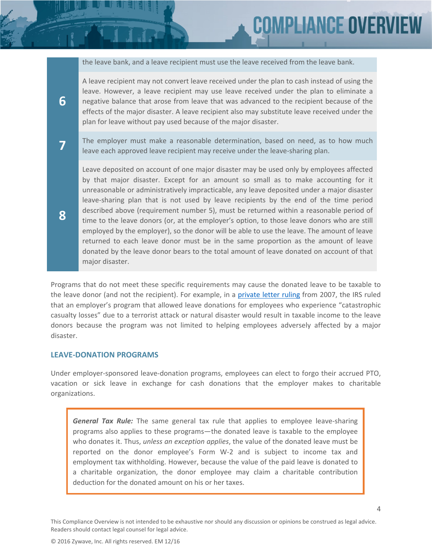the leave bank, and a leave recipient must use the leave received from the leave bank.

**COMPLIANCE OVER** 

A leave recipient may not convert leave received under the plan to cash instead of using the leave. However, a leave recipient may use leave received under the plan to eliminate a negative balance that arose from leave that was advanced to the recipient because of the effects of the major disaster. A leave recipient also may substitute leave received under the plan for leave without pay used because of the major disaster.

The employer must make a reasonable determination, based on need, as to how much leave each approved leave recipient may receive under the leave-sharing plan.

Leave deposited on account of one major disaster may be used only by employees affected by that major disaster. Except for an amount so small as to make accounting for it unreasonable or administratively impracticable, any leave deposited under a major disaster leave-sharing plan that is not used by leave recipients by the end of the time period described above (requirement number 5), must be returned within a reasonable period of time to the leave donors (or, at the employer's option, to those leave donors who are still employed by the employer), so the donor will be able to use the leave. The amount of leave returned to each leave donor must be in the same proportion as the amount of leave donated by the leave donor bears to the total amount of leave donated on account of that major disaster.

Programs that do not meet these specific requirements may cause the donated leave to be taxable to the leave donor (and not the recipient). For example, in a [private](https://www.irs.gov/pub/irs-wd/0720017.pdf) letter [ruling](https://www.irs.gov/pub/irs-wd/0720017.pdf) from 2007, the IRS ruled that an employer's program that allowed leave donations for employees who experience "catastrophic casualty losses" due to a terrorist attack or natural disaster would result in taxable income to the leave donors because the program was not limited to helping employees adversely affected by a major disaster.

#### **LEAVE-DONATION PROGRAMS**

**6**

**7**

**8**

Under employer-sponsored leave-donation programs, employees can elect to forgo their accrued PTO, vacation or sick leave in exchange for cash donations that the employer makes to charitable organizations.

*General Tax Rule:* The same general tax rule that applies to employee leave-sharing programs also applies to these programs—the donated leave is taxable to the employee who donates it. Thus, *unless an exception applies*, the value of the donated leave must be reported on the donor employee's Form W-2 and is subject to income tax and employment tax withholding. However, because the value of the paid leave is donated to a charitable organization, the donor employee may claim a charitable contribution deduction for the donated amount on his or her taxes.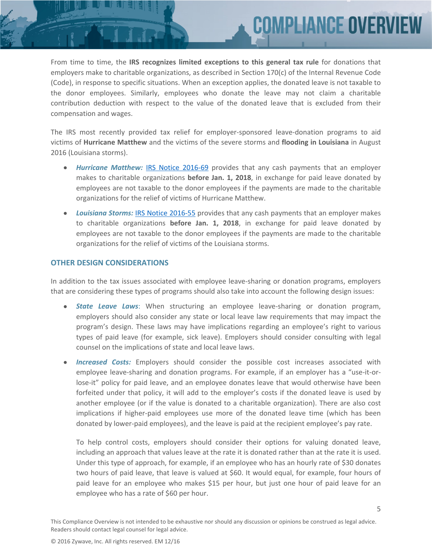From time to time, the **IRS recognizes limited exceptions to this general tax rule** for donations that employers make to charitable organizations, as described in Section 170(c) of the Internal Revenue Code (Code), in response to specific situations. When an exception applies, the donated leave is not taxable to the donor employees. Similarly, employees who donate the leave may not claim a charitable contribution deduction with respect to the value of the donated leave that is excluded from their compensation and wages.

COMPLIANCE OVERV

The IRS most recently provided tax relief for employer-sponsored leave-donation programs to aid victims of **Hurricane Matthew** and the victims of the severe storms and **flooding in Louisiana** in August 2016 (Louisiana storms).

- *Hurricane Matthew:* IRS Notice [2016-69](https://www.irs.gov/pub/irs-drop/n-16-69.pdf) provides that any cash payments that an employer makes to charitable organizations **before Jan. 1, 2018**, in exchange for paid leave donated by employees are not taxable to the donor employees if the payments are made to the charitable organizations for the relief of victims of Hurricane Matthew.
- *Louisiana Storms:* IRS Notice [2016-55](https://www.irs.gov/pub/irs-drop/n-16-55.pdf) provides that any cash payments that an employer makes to charitable organizations **before Jan. 1, 2018**, in exchange for paid leave donated by employees are not taxable to the donor employees if the payments are made to the charitable organizations for the relief of victims of the Louisiana storms.

#### **OTHER DESIGN CONSIDERATIONS**

In addition to the tax issues associated with employee leave-sharing or donation programs, employers that are considering these types of programs should also take into account the following design issues:

- *State Leave Laws*: When structuring an employee leave-sharing or donation program, employers should also consider any state or local leave law requirements that may impact the program's design. These laws may have implications regarding an employee's right to various types of paid leave (for example, sick leave). Employers should consider consulting with legal counsel on the implications of state and local leave laws.
- *Increased Costs:* Employers should consider the possible cost increases associated with employee leave-sharing and donation programs. For example, if an employer has a "use-it-orlose-it" policy for paid leave, and an employee donates leave that would otherwise have been forfeited under that policy, it will add to the employer's costs if the donated leave is used by another employee (or if the value is donated to a charitable organization). There are also cost implications if higher-paid employees use more of the donated leave time (which has been donated by lower-paid employees), and the leave is paid at the recipient employee's pay rate.

To help control costs, employers should consider their options for valuing donated leave, including an approach that values leave at the rate it is donated rather than at the rate it is used. Under this type of approach, for example, if an employee who has an hourly rate of \$30 donates two hours of paid leave, that leave is valued at \$60. It would equal, for example, four hours of paid leave for an employee who makes \$15 per hour, but just one hour of paid leave for an employee who has a rate of \$60 per hour.

5